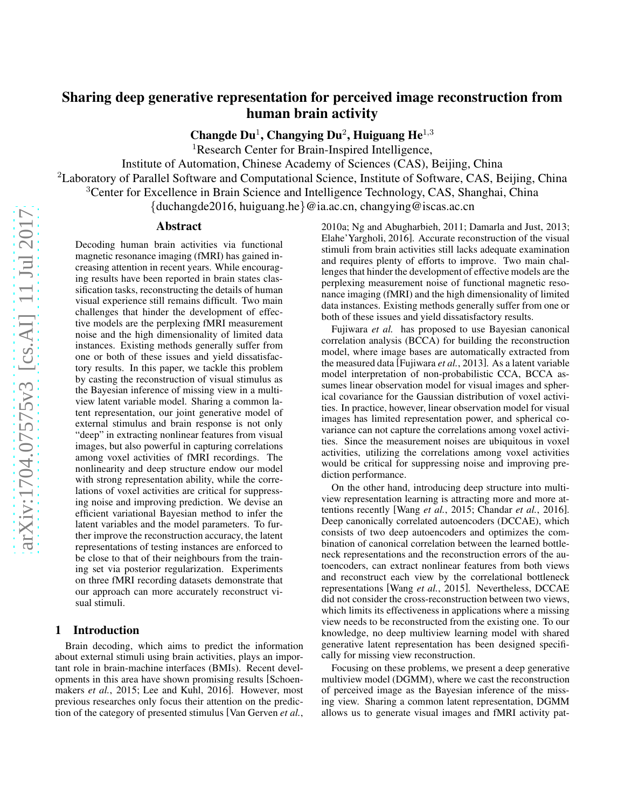# Sharing deep generative representation for perceived image reconstruction from human brain activity

Changde  $\text{Du}^1$ , Changying  $\text{Du}^2$ , Huiguang He<sup>1,3</sup>

<sup>1</sup>Research Center for Brain-Inspired Intelligence,

Institute of Automation, Chinese Academy of Sciences (CAS), Beijing, China

<sup>2</sup>Laboratory of Parallel Software and Computational Science, Institute of Software, CAS, Beijing, China

<sup>3</sup>Center for Excellence in Brain Science and Intelligence Technology, CAS, Shanghai, China

{duchangde2016, huiguang.he}@ia.ac.cn, changying@iscas.ac.cn

#### Abstract

Decoding human brain activities via functional magnetic resonance imaging (fMRI) has gained increasing attention in recent years. While encouraging results have been reported in brain states classification tasks, reconstructing the details of human visual experience still remains difficult. Two main challenges that hinder the development of effective models are the perplexing fMRI measurement noise and the high dimensionality of limited data instances. Existing methods generally suffer from one or both of these issues and yield dissatisfactory results. In this paper, we tackle this problem by casting the reconstruction of visual stimulus as the Bayesian inference of missing view in a multiview latent variable model. Sharing a common latent representation, our joint generative model of external stimulus and brain response is not only "deep" in extracting nonlinear features from visual images, but also powerful in capturing correlations among voxel activities of fMRI recordings. The nonlinearity and deep structure endow our model with strong representation ability, while the correlations of voxel activities are critical for suppressing noise and improving prediction. We devise an efficient variational Bayesian method to infer the latent variables and the model parameters. To further improve the reconstruction accuracy, the latent representations of testing instances are enforced to be close to that of their neighbours from the training set via posterior regularization. Experiments on three fMRI recording datasets demonstrate that our approach can more accurately reconstruct visual stimuli.

# 1 Introduction

Brain decoding, which aims to predict the information about external stimuli using brain activities, plays an important role in brain-machine interfaces (BMIs). Recent developments in this area have shown promising results [Schoenmakers *et al.*, 2015; Lee and Kuhl, 2016]. However, most previous researches only focus their attention on the prediction of the category of presented stimulus [Van Gerven *et al.*, 2010a; Ng and Abugharbieh, 2011; Damarla and Just, 2013; Elahe'Yargholi, 2016]. Accurate reconstruction of the visual stimuli from brain activities still lacks adequate examination and requires plenty of efforts to improve. Two main challenges that hinder the development of effective models are the perplexing measurement noise of functional magnetic resonance imaging (fMRI) and the high dimensionality of limited data instances. Existing methods generally suffer from one or both of these issues and yield dissatisfactory results.

Fujiwara *et al.* has proposed to use Bayesian canonical correlation analysis (BCCA) for building the reconstruction model, where image bases are automatically extracted from the measured data [Fujiwara *et al.*, 2013]. As a latent variable model interpretation of non-probabilistic CCA, BCCA assumes linear observation model for visual images and spherical covariance for the Gaussian distribution of voxel activities. In practice, however, linear observation model for visual images has limited representation power, and spherical covariance can not capture the correlations among voxel activities. Since the measurement noises are ubiquitous in voxel activities, utilizing the correlations among voxel activities would be critical for suppressing noise and improving prediction performance.

On the other hand, introducing deep structure into multiview representation learning is attracting more and more attentions recently [Wang *et al.*, 2015; Chandar *et al.*, 2016]. Deep canonically correlated autoencoders (DCCAE), which consists of two deep autoencoders and optimizes the combination of canonical correlation between the learned bottleneck representations and the reconstruction errors of the autoencoders, can extract nonlinear features from both views and reconstruct each view by the correlational bottleneck representations [Wang *et al.*, 2015]. Nevertheless, DCCAE did not consider the cross-reconstruction between two views, which limits its effectiveness in applications where a missing view needs to be reconstructed from the existing one. To our knowledge, no deep multiview learning model with shared generative latent representation has been designed specifically for missing view reconstruction.

Focusing on these problems, we present a deep generative multiview model (DGMM), where we cast the reconstruction of perceived image as the Bayesian inference of the missing view. Sharing a common latent representation, DGMM allows us to generate visual images and fMRI activity pat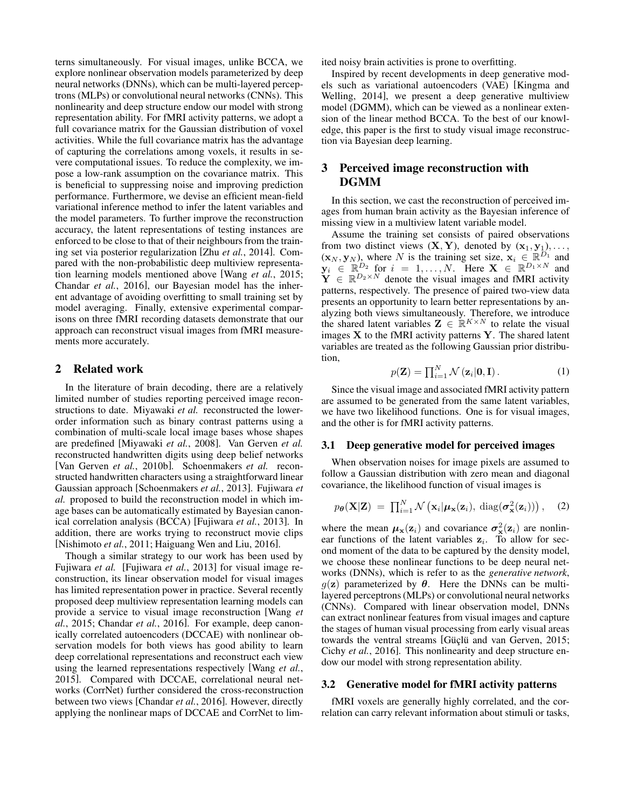terns simultaneously. For visual images, unlike BCCA, we explore nonlinear observation models parameterized by deep neural networks (DNNs), which can be multi-layered perceptrons (MLPs) or convolutional neural networks (CNNs). This nonlinearity and deep structure endow our model with strong representation ability. For fMRI activity patterns, we adopt a full covariance matrix for the Gaussian distribution of voxel activities. While the full covariance matrix has the advantage of capturing the correlations among voxels, it results in severe computational issues. To reduce the complexity, we impose a low-rank assumption on the covariance matrix. This is beneficial to suppressing noise and improving prediction performance. Furthermore, we devise an efficient mean-field variational inference method to infer the latent variables and the model parameters. To further improve the reconstruction accuracy, the latent representations of testing instances are enforced to be close to that of their neighbours from the training set via posterior regularization [Zhu *et al.*, 2014]. Compared with the non-probabilistic deep multiview representation learning models mentioned above [Wang *et al.*, 2015; Chandar *et al.*, 2016], our Bayesian model has the inherent advantage of avoiding overfitting to small training set by model averaging. Finally, extensive experimental comparisons on three fMRI recording datasets demonstrate that our approach can reconstruct visual images from fMRI measurements more accurately.

# 2 Related work

In the literature of brain decoding, there are a relatively limited number of studies reporting perceived image reconstructions to date. Miyawaki *et al.* reconstructed the lowerorder information such as binary contrast patterns using a combination of multi-scale local image bases whose shapes are predefined [Miyawaki *et al.*, 2008]. Van Gerven *et al.* reconstructed handwritten digits using deep belief networks [Van Gerven *et al.*, 2010b]. Schoenmakers *et al.* reconstructed handwritten characters using a straightforward linear Gaussian approach [Schoenmakers *et al.*, 2013]. Fujiwara *et al.* proposed to build the reconstruction model in which image bases can be automatically estimated by Bayesian canonical correlation analysis (BCCA) [Fujiwara *et al.*, 2013]. In addition, there are works trying to reconstruct movie clips [Nishimoto *et al.*, 2011; Haiguang Wen and Liu, 2016].

Though a similar strategy to our work has been used by Fujiwara *et al.* [Fujiwara *et al.*, 2013] for visual image reconstruction, its linear observation model for visual images has limited representation power in practice. Several recently proposed deep multiview representation learning models can provide a service to visual image reconstruction [Wang *et al.*, 2015; Chandar *et al.*, 2016]. For example, deep canonically correlated autoencoders (DCCAE) with nonlinear observation models for both views has good ability to learn deep correlational representations and reconstruct each view using the learned representations respectively [Wang *et al.*, 2015]. Compared with DCCAE, correlational neural networks (CorrNet) further considered the cross-reconstruction between two views [Chandar *et al.*, 2016]. However, directly applying the nonlinear maps of DCCAE and CorrNet to limited noisy brain activities is prone to overfitting.

Inspired by recent developments in deep generative models such as variational autoencoders (VAE) [Kingma and Welling, 2014], we present a deep generative multiview model (DGMM), which can be viewed as a nonlinear extension of the linear method BCCA. To the best of our knowledge, this paper is the first to study visual image reconstruction via Bayesian deep learning.

# 3 Perceived image reconstruction with DGMM

In this section, we cast the reconstruction of perceived images from human brain activity as the Bayesian inference of missing view in a multiview latent variable model.

Assume the training set consists of paired observations from two distinct views  $(X, Y)$ , denoted by  $(x_1, y_1), \ldots$ ,  $(\mathbf{x}_N, \mathbf{y}_N)$ , where N is the training set size,  $\mathbf{x}_i \in \mathbb{R}^{D_1}$  and  $\mathbf{y}_i \in \mathbb{R}^{D_2}$  for  $i = 1, ..., N$ . Here  $\mathbf{X} \in \mathbb{R}^{D_1 \times N}$  and  $\mathbf{Y} \in \mathbb{R}^{D_2 \times N}$  denote the visual images and fMRI activity patterns, respectively. The presence of paired two-view data presents an opportunity to learn better representations by analyzing both views simultaneously. Therefore, we introduce the shared latent variables  $\mathbf{Z} \in \mathbb{R}^{K \times N}$  to relate the visual images  $X$  to the fMRI activity patterns  $Y$ . The shared latent variables are treated as the following Gaussian prior distribution,

$$
p(\mathbf{Z}) = \prod_{i=1}^{N} \mathcal{N}\left(\mathbf{z}_i | \mathbf{0}, \mathbf{I}\right).
$$
 (1)

Since the visual image and associated fMRI activity pattern are assumed to be generated from the same latent variables, we have two likelihood functions. One is for visual images, and the other is for fMRI activity patterns.

# 3.1 Deep generative model for perceived images

When observation noises for image pixels are assumed to follow a Gaussian distribution with zero mean and diagonal covariance, the likelihood function of visual images is

$$
p_{\boldsymbol{\theta}}(\mathbf{X}|\mathbf{Z}) = \prod_{i=1}^{N} \mathcal{N}\left(\mathbf{x}_i | \boldsymbol{\mu}_{\mathbf{x}}(\mathbf{z}_i), \text{ diag}(\boldsymbol{\sigma}_{\mathbf{x}}^2(\mathbf{z}_i))\right), \quad (2)
$$

where the mean  $\mu_{\mathbf{x}}(\mathbf{z}_i)$  and covariance  $\sigma_{\mathbf{x}}^2(\mathbf{z}_i)$  are nonlinear functions of the latent variables  $z_i$ . To allow for second moment of the data to be captured by the density model, we choose these nonlinear functions to be deep neural networks (DNNs), which is refer to as the *generative network*,  $g(z)$  parameterized by  $\theta$ . Here the DNNs can be multilayered perceptrons (MLPs) or convolutional neural networks (CNNs). Compared with linear observation model, DNNs can extract nonlinear features from visual images and capture the stages of human visual processing from early visual areas towards the ventral streams [Güçlü and van Gerven, 2015; Cichy *et al.*, 2016]. This nonlinearity and deep structure endow our model with strong representation ability.

#### 3.2 Generative model for fMRI activity patterns

fMRI voxels are generally highly correlated, and the correlation can carry relevant information about stimuli or tasks,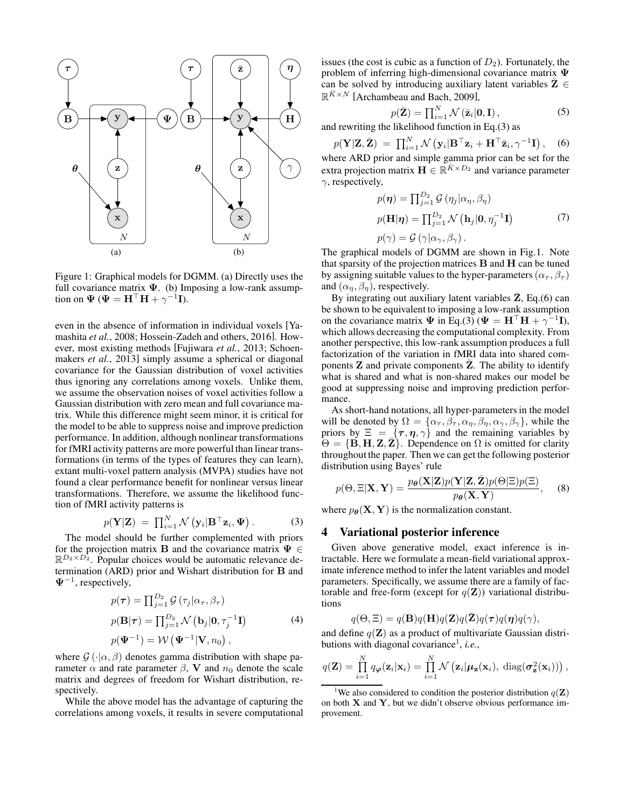

Figure 1: Graphical models for DGMM. (a) Directly uses the full covariance matrix  $\Psi$ . (b) Imposing a low-rank assumption on  $\Psi$  ( $\Psi = \mathbf{H}^{\top} \mathbf{H} + \gamma^{-1} \mathbf{I}$ ).

even in the absence of information in individual voxels [Yamashita *et al.*, 2008; Hossein-Zadeh and others, 2016]. However, most existing methods [Fujiwara *et al.*, 2013; Schoenmakers *et al.*, 2013] simply assume a spherical or diagonal covariance for the Gaussian distribution of voxel activities thus ignoring any correlations among voxels. Unlike them, we assume the observation noises of voxel activities follow a Gaussian distribution with zero mean and full covariance matrix. While this difference might seem minor, it is critical for the model to be able to suppress noise and improve prediction performance. In addition, although nonlinear transformations for fMRI activity patterns are more powerful than linear transformations (in terms of the types of features they can learn), extant multi-voxel pattern analysis (MVPA) studies have not found a clear performance benefit for nonlinear versus linear transformations. Therefore, we assume the likelihood function of fMRI activity patterns is

$$
p(\mathbf{Y}|\mathbf{Z}) = \prod_{i=1}^{N} \mathcal{N}(\mathbf{y}_i | \mathbf{B}^{\top} \mathbf{z}_i, \mathbf{\Psi}). \tag{3}
$$

The model should be further complemented with priors for the projection matrix **B** and the covariance matrix  $\Psi \in$  $\mathbb{R}^{D_2 \times D_2}$ . Popular choices would be automatic relevance determination (ARD) prior and Wishart distribution for B and  $\Psi^{-1}$ , respectively,

$$
p(\boldsymbol{\tau}) = \prod_{j=1}^{D_2} \mathcal{G}(\tau_j | \alpha_{\tau}, \beta_{\tau})
$$
  
\n
$$
p(\mathbf{B}|\boldsymbol{\tau}) = \prod_{j=1}^{D_2} \mathcal{N}(\mathbf{b}_j | \mathbf{0}, \tau_j^{-1} \mathbf{I})
$$
  
\n
$$
p(\boldsymbol{\Psi}^{-1}) = \mathcal{W}(\boldsymbol{\Psi}^{-1} | \mathbf{V}, n_0),
$$
\n(4)

where  $\mathcal{G}(\cdot|\alpha,\beta)$  denotes gamma distribution with shape parameter  $\alpha$  and rate parameter  $\beta$ , V and  $n_0$  denote the scale matrix and degrees of freedom for Wishart distribution, respectively.

While the above model has the advantage of capturing the correlations among voxels, it results in severe computational issues (the cost is cubic as a function of  $D_2$ ). Fortunately, the problem of inferring high-dimensional covariance matrix Ψ can be solved by introducing auxiliary latent variables  $\bar{Z}$  ∈  $\mathbb{R}^{\bar{K} \times N}$  [Archambeau and Bach, 2009],

$$
p(\bar{\mathbf{Z}}) = \prod_{i=1}^{N} \mathcal{N}\left(\bar{\mathbf{z}}_i | \mathbf{0}, \mathbf{I}\right),\tag{5}
$$

and rewriting the likelihood function in Eq.(3) as

$$
p(\mathbf{Y}|\mathbf{Z},\bar{\mathbf{Z}}) = \prod_{i=1}^{N} \mathcal{N}(\mathbf{y}_i | \mathbf{B}^{\top} \mathbf{z}_i + \mathbf{H}^{\top} \bar{\mathbf{z}}_i, \gamma^{-1} \mathbf{I}), \quad (6)
$$

where ARD prior and simple gamma prior can be set for the extra projection matrix  $\mathbf{H} \in \mathbb{R}^{\bar{K} \times D_2}$  and variance parameter  $\gamma$ , respectively,

$$
p(\boldsymbol{\eta}) = \prod_{j=1}^{D_2} \mathcal{G}(\eta_j | \alpha_{\eta}, \beta_{\eta})
$$
  
\n
$$
p(\mathbf{H}|\boldsymbol{\eta}) = \prod_{j=1}^{D_2} \mathcal{N}(\mathbf{h}_j | \mathbf{0}, \eta_j^{-1} \mathbf{I})
$$
  
\n
$$
p(\gamma) = \mathcal{G}(\gamma | \alpha_{\gamma}, \beta_{\gamma}).
$$
\n(7)

The graphical models of DGMM are shown in Fig.1. Note that sparsity of the projection matrices B and H can be tuned by assigning suitable values to the hyper-parameters ( $\alpha_{\tau}$ ,  $\beta_{\tau}$ ) and  $(\alpha_{\eta}, \beta_{\eta})$ , respectively.

By integrating out auxiliary latent variables  $\bar{Z}$ , Eq.(6) can be shown to be equivalent to imposing a low-rank assumption on the covariance matrix  $\Psi$  in Eq.(3) ( $\Psi = H^{\top}H + \gamma^{-1}I$ ), which allows decreasing the computational complexity. From another perspective, this low-rank assumption produces a full factorization of the variation in fMRI data into shared components  $Z$  and private components  $\overline{Z}$ . The ability to identify what is shared and what is non-shared makes our model be good at suppressing noise and improving prediction performance.

As short-hand notations, all hyper-parameters in the model will be denoted by  $\Omega = {\alpha_{\tau}, \beta_{\tau}, \alpha_{\eta}, \beta_{\eta}, \alpha_{\gamma}, \beta_{\gamma}}$ , while the priors by  $\Xi = \{\tau, \eta, \gamma\}$  and the remaining variables by  $\hat{\Theta} = {\bf \{\vec{B}, \vec{H}, \vec{Z}, \vec{Z}\}}$ . Dependence on  $\Omega$  is omitted for clarity throughout the paper. Then we can get the following posterior distribution using Bayes' rule

$$
p(\Theta, \Xi | \mathbf{X}, \mathbf{Y}) = \frac{p_{\theta}(\mathbf{X} | \mathbf{Z}) p(\mathbf{Y} | \mathbf{Z}, \bar{\mathbf{Z}}) p(\Theta | \Xi) p(\Xi)}{p_{\theta}(\mathbf{X}, \mathbf{Y})}, \quad (8)
$$

where  $p_{\theta}(\mathbf{X}, \mathbf{Y})$  is the normalization constant.

### 4 Variational posterior inference

Given above generative model, exact inference is intractable. Here we formulate a mean-field variational approximate inference method to infer the latent variables and model parameters. Specifically, we assume there are a family of factorable and free-form (except for  $q(\mathbf{Z})$ ) variational distributions

$$
q(\Theta, \Xi) = q(\mathbf{B})q(\mathbf{H})q(\mathbf{Z})q(\bar{\mathbf{Z}})q(\boldsymbol{\tau})q(\boldsymbol{\eta})q(\gamma),
$$

and define  $q(\mathbf{Z})$  as a product of multivariate Gaussian distributions with diagonal covariance<sup>1</sup>, *i.e.*,

$$
q(\mathbf{Z}) = \prod_{i=1}^N q_{\boldsymbol{\varphi}}(\mathbf{z}_i|\mathbf{x}_i) = \prod_{i=1}^N \mathcal{N}(\mathbf{z}_i|\boldsymbol{\mu}_{\mathbf{z}}(\mathbf{x}_i), \ \mathrm{diag}(\boldsymbol{\sigma}_{\mathbf{z}}^2(\mathbf{x}_i)))
$$

<sup>1</sup>We also considered to condition the posterior distribution  $q(\mathbf{Z})$ on both  $X$  and  $Y$ , but we didn't observe obvious performance improvement.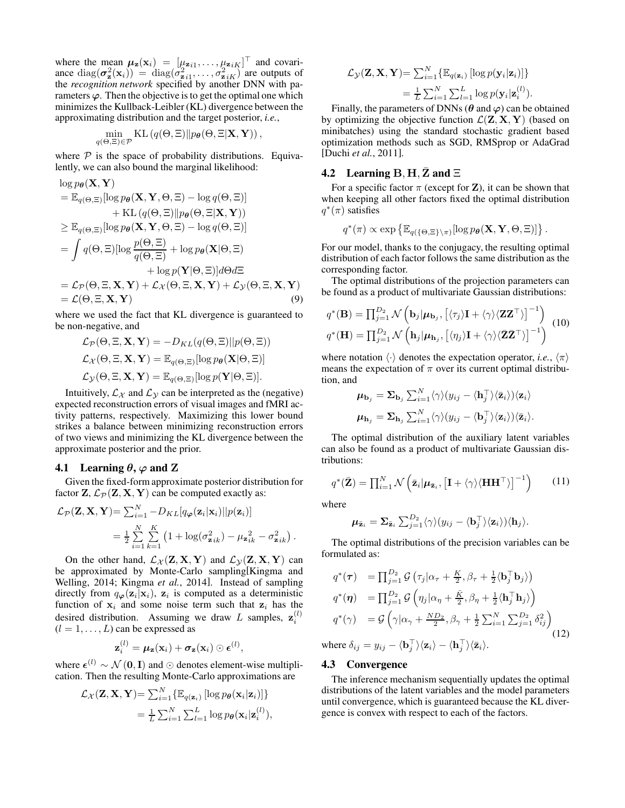where the mean  $\mu_z(\mathbf{x}_i) = [\mu_z, \dots, \mu_z, \mu_x]^\top$  and covariance  $\text{diag}(\sigma_{\mathbf{z}}^2(\mathbf{x}_i)) = \text{diag}(\sigma_{\mathbf{z}_i}^2, \dots, \sigma_{\mathbf{z}_i}^2)$  are outputs of the *recognition network* specified by another DNN with parameters  $\varphi$ . Then the objective is to get the optimal one which minimizes the Kullback-Leibler (KL) divergence between the approximating distribution and the target posterior, *i.e.*,

$$
\min_{q(\Theta,\Xi)\in\mathcal{P}}\mathrm{KL}\left(q(\Theta,\Xi)\|p_{\theta}(\Theta,\Xi|\mathbf{X},\mathbf{Y})\right),\,
$$

where  $\mathcal P$  is the space of probability distributions. Equivalently, we can also bound the marginal likelihood:

$$
\log p_{\theta}(\mathbf{X}, \mathbf{Y})
$$
\n
$$
= \mathbb{E}_{q(\Theta, \Xi)}[\log p_{\theta}(\mathbf{X}, \mathbf{Y}, \Theta, \Xi) - \log q(\Theta, \Xi)]
$$
\n
$$
+ \text{KL}(q(\Theta, \Xi) || p_{\theta}(\Theta, \Xi | \mathbf{X}, \mathbf{Y}))
$$
\n
$$
\geq \mathbb{E}_{q(\Theta, \Xi)}[\log p_{\theta}(\mathbf{X}, \mathbf{Y}, \Theta, \Xi) - \log q(\Theta, \Xi)]
$$
\n
$$
= \int q(\Theta, \Xi) [\log \frac{p(\Theta, \Xi)}{q(\Theta, \Xi)} + \log p_{\theta}(\mathbf{X} | \Theta, \Xi)
$$
\n
$$
+ \log p(\mathbf{Y} | \Theta, \Xi)] d\Theta d\Xi
$$
\n
$$
= \mathcal{L}_{\mathcal{P}}(\Theta, \Xi, \mathbf{X}, \mathbf{Y}) + \mathcal{L}_{\mathcal{X}}(\Theta, \Xi, \mathbf{X}, \mathbf{Y}) + \mathcal{L}_{\mathcal{Y}}(\Theta, \Xi, \mathbf{X}, \mathbf{Y})
$$
\n
$$
= \mathcal{L}(\Theta, \Xi, \mathbf{X}, \mathbf{Y})
$$
\n(9)

where we used the fact that KL divergence is guaranteed to be non-negative, and

$$
\mathcal{L}_{\mathcal{P}}(\Theta, \Xi, \mathbf{X}, \mathbf{Y}) = -D_{KL}(q(\Theta, \Xi)||p(\Theta, \Xi))
$$

$$
\mathcal{L}_{\mathcal{X}}(\Theta, \Xi, \mathbf{X}, \mathbf{Y}) = \mathbb{E}_{q(\Theta, \Xi)}[\log p_{\theta}(\mathbf{X}|\Theta, \Xi)]
$$

$$
\mathcal{L}_{\mathcal{Y}}(\Theta, \Xi, \mathbf{X}, \mathbf{Y}) = \mathbb{E}_{q(\Theta, \Xi)}[\log p(\mathbf{Y}|\Theta, \Xi)].
$$

Intuitively,  $\mathcal{L}_{\chi}$  and  $\mathcal{L}_{\gamma}$  can be interpreted as the (negative) expected reconstruction errors of visual images and fMRI activity patterns, respectively. Maximizing this lower bound strikes a balance between minimizing reconstruction errors of two views and minimizing the KL divergence between the approximate posterior and the prior.

#### 4.1 Learning  $\theta$ ,  $\varphi$  and Z

Given the fixed-form approximate posterior distribution for factor  $\mathbf{Z}, \mathcal{L}_{\mathcal{P}}(\mathbf{Z}, \mathbf{X}, \mathbf{Y})$  can be computed exactly as:

$$
\mathcal{L}_{\mathcal{P}}(\mathbf{Z}, \mathbf{X}, \mathbf{Y}) = \sum_{i=1}^{N} -D_{KL}[q_{\boldsymbol{\varphi}}(\mathbf{z}_i|\mathbf{x}_i)||p(\mathbf{z}_i)]
$$
  
=  $\frac{1}{2}\sum_{i=1}^{N}\sum_{k=1}^{K} (1 + \log(\sigma_{\mathbf{z}_ik}^2) - \mu_{\mathbf{z}_ik}^2 - \sigma_{\mathbf{z}_ik}^2).$ 

On the other hand,  $\mathcal{L}_{\mathcal{X}}(\mathbf{Z}, \mathbf{X}, \mathbf{Y})$  and  $\mathcal{L}_{\mathcal{Y}}(\mathbf{Z}, \mathbf{X}, \mathbf{Y})$  can be approximated by Monte-Carlo sampling[Kingma and Welling, 2014; Kingma *et al.*, 2014]. Instead of sampling directly from  $q_{\varphi}(\mathbf{z}_i|\mathbf{x}_i)$ ,  $\mathbf{z}_i$  is computed as a deterministic function of  $x_i$  and some noise term such that  $z_i$  has the desired distribution. Assuming we draw L samples,  $\mathbf{z}_i^{(l)}$  $(l = 1, \ldots, L)$  can be expressed as

$$
\mathbf{z}_{i}^{(l)} = \boldsymbol{\mu}_{\mathbf{z}}(\mathbf{x}_{i}) + \boldsymbol{\sigma}_{\mathbf{z}}(\mathbf{x}_{i}) \odot \boldsymbol{\epsilon}^{(l)},
$$

where  $\epsilon^{(l)} \sim \mathcal{N}(0, I)$  and ⊙ denotes element-wise multiplication. Then the resulting Monte-Carlo approximations are

$$
\mathcal{L}_{\mathcal{X}}(\mathbf{Z}, \mathbf{X}, \mathbf{Y}) = \sum_{i=1}^{N} \{ \mathbb{E}_{q(\mathbf{z}_i)} \left[ \log p_{\theta}(\mathbf{x}_i | \mathbf{z}_i) \right] \}
$$
  
=  $\frac{1}{L} \sum_{i=1}^{N} \sum_{l=1}^{L} \log p_{\theta}(\mathbf{x}_i | \mathbf{z}_i^{(l)}),$ 

$$
\mathcal{L}_{\mathcal{Y}}(\mathbf{Z}, \mathbf{X}, \mathbf{Y}) = \sum_{i=1}^{N} \{ \mathbb{E}_{q(\mathbf{z}_i)} [\log p(\mathbf{y}_i | \mathbf{z}_i)] \}
$$
  
=  $\frac{1}{L} \sum_{i=1}^{N} \sum_{l=1}^{L} \log p(\mathbf{y}_i | \mathbf{z}_i^{(l)}).$ 

Finally, the parameters of DNNs ( $\theta$  and  $\varphi$ ) can be obtained by optimizing the objective function  $\mathcal{L}(\mathbf{Z}, \mathbf{X}, \mathbf{Y})$  (based on minibatches) using the standard stochastic gradient based optimization methods such as SGD, RMSprop or AdaGrad [Duchi *et al.*, 2011].

# 4.2 Learning B, H,  $\bar{Z}$  and  $\Xi$

For a specific factor  $\pi$  (except for **Z**), it can be shown that when keeping all other factors fixed the optimal distribution  $q^*(\pi)$  satisfies

$$
q^*(\pi) \propto \exp \left\{ \mathbb{E}_{q(\{\Theta,\Xi\}\setminus\pi)}[\log p_{\theta}(\mathbf{X}, \mathbf{Y}, \Theta, \Xi)] \right\}.
$$

For our model, thanks to the conjugacy, the resulting optimal distribution of each factor follows the same distribution as the corresponding factor.

The optimal distributions of the projection parameters can be found as a product of multivariate Gaussian distributions:

$$
q^*(\mathbf{B}) = \prod_{j=1}^{D_2} \mathcal{N}\left(\mathbf{b}_j | \boldsymbol{\mu}_{\mathbf{b}_j}, \left[ \langle \tau_j \rangle \mathbf{I} + \langle \gamma \rangle \langle \mathbf{Z} \mathbf{Z}^\top \rangle \right]^{-1} \right) \tag{10}
$$

$$
q^*(\mathbf{H}) = \prod_{j=1}^{D_2} \mathcal{N}\left(\mathbf{h}_j | \boldsymbol{\mu}_{\mathbf{h}_j}, \left[ \langle \eta_j \rangle \mathbf{I} + \langle \gamma \rangle \langle \mathbf{Z} \mathbf{Z}^\top \rangle \right]^{-1} \right)
$$

where notation  $\langle \cdot \rangle$  denotes the expectation operator, *i.e.*,  $\langle \pi \rangle$ means the expectation of  $\pi$  over its current optimal distribution, and

$$
\mu_{\mathbf{b}_j} = \Sigma_{\mathbf{b}_j} \sum_{i=1}^N \langle \gamma \rangle (y_{ij} - \langle \mathbf{h}_j^{\top} \rangle \langle \bar{\mathbf{z}}_i \rangle) \langle \mathbf{z}_i \rangle \n\mu_{\mathbf{h}_j} = \Sigma_{\mathbf{h}_j} \sum_{i=1}^N \langle \gamma \rangle (y_{ij} - \langle \mathbf{b}_j^{\top} \rangle \langle \mathbf{z}_i \rangle) \langle \bar{\mathbf{z}}_i \rangle.
$$

The optimal distribution of the auxiliary latent variables can also be found as a product of multivariate Gaussian distributions:

$$
q^*(\bar{\mathbf{Z}}) = \prod_{i=1}^N \mathcal{N}\left(\bar{\mathbf{z}}_i | \mu_{\bar{\mathbf{z}}_i}, \left[\mathbf{I} + \langle \gamma \rangle \langle \mathbf{H} \mathbf{H}^\top \rangle\right]^{-1}\right) \tag{11}
$$

where

$$
\mu_{\bar{\mathbf{z}}_i} = \mathbf{\Sigma}_{\bar{\mathbf{z}}_i} \sum_{j=1}^{D_2} \langle \gamma \rangle (y_{ij} - \langle \mathbf{b}_j^{\top} \rangle \langle \mathbf{z}_i \rangle) \langle \mathbf{h}_j \rangle.
$$

The optimal distributions of the precision variables can be formulated as:

$$
q^*(\tau) = \prod_{j=1}^{D_2} \mathcal{G} \left( \tau_j | \alpha_\tau + \frac{K}{2}, \beta_\tau + \frac{1}{2} \langle \mathbf{b}_j^\top \mathbf{b}_j \rangle \right)
$$
  
\n
$$
q^*(\eta) = \prod_{j=1}^{D_2} \mathcal{G} \left( \eta_j | \alpha_\eta + \frac{\bar{K}}{2}, \beta_\eta + \frac{1}{2} \langle \mathbf{h}_j^\top \mathbf{h}_j \rangle \right)
$$
  
\n
$$
q^*(\gamma) = \mathcal{G} \left( \gamma | \alpha_\gamma + \frac{N D_2}{2}, \beta_\gamma + \frac{1}{2} \sum_{i=1}^N \sum_{j=1}^{D_2} \delta_{ij}^2 \right)
$$
  
\nwhere  $\delta_{ij} = y_{ij} - \langle \mathbf{b}_j^\top \rangle \langle \mathbf{z}_i \rangle - \langle \mathbf{h}_j^\top \rangle \langle \bar{\mathbf{z}}_i \rangle.$  (12)

4.3 Convergence

The inference mechanism sequentially updates the optimal distributions of the latent variables and the model parameters until convergence, which is guaranteed because the KL divergence is convex with respect to each of the factors.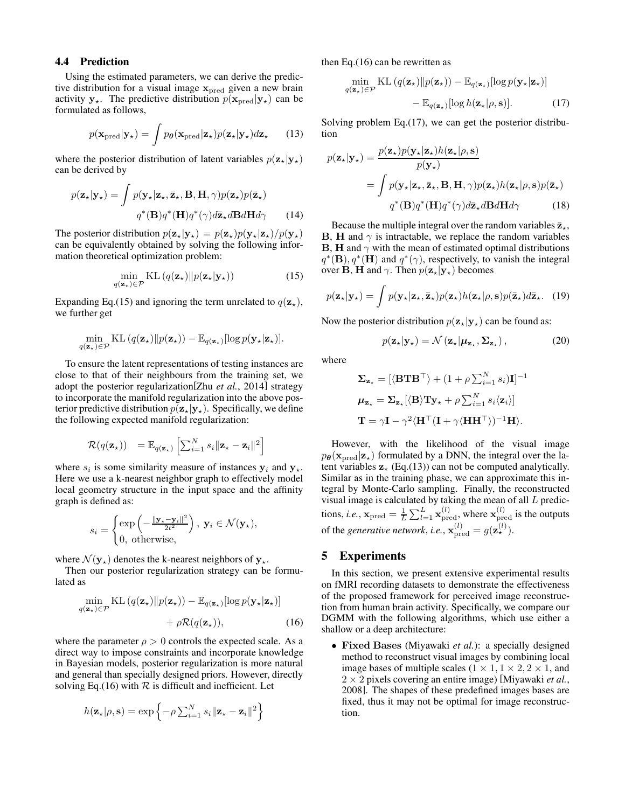#### 4.4 Prediction

Using the estimated parameters, we can derive the predictive distribution for a visual image  $x<sub>pred</sub>$  given a new brain activity  $y_{\star}$ . The predictive distribution  $p(\mathbf{x}_{pred}|\mathbf{y}_{\star})$  can be formulated as follows,

$$
p(\mathbf{x}_{\text{pred}}|\mathbf{y}_{\star}) = \int p_{\theta}(\mathbf{x}_{\text{pred}}|\mathbf{z}_{\star}) p(\mathbf{z}_{\star}|\mathbf{y}_{\star}) d\mathbf{z}_{\star}
$$
 (13)

where the posterior distribution of latent variables  $p(\mathbf{z}_\star|\mathbf{y}_\star)$ can be derived by

$$
p(\mathbf{z}_{\star}|\mathbf{y}_{\star}) = \int p(\mathbf{y}_{\star}|\mathbf{z}_{\star}, \bar{\mathbf{z}}_{\star}, \mathbf{B}, \mathbf{H}, \gamma) p(\mathbf{z}_{\star}) p(\bar{\mathbf{z}}_{\star})
$$

$$
q^*(\mathbf{B}) q^*(\mathbf{H}) q^*(\gamma) d\bar{\mathbf{z}}_{\star} d\mathbf{B} d\mathbf{H} d\gamma \qquad (14)
$$

The posterior distribution  $p(\mathbf{z}_\star|\mathbf{y}_\star) = p(\mathbf{z}_\star)p(\mathbf{y}_\star|\mathbf{z}_\star)/p(\mathbf{y}_\star)$ can be equivalently obtained by solving the following information theoretical optimization problem:

$$
\min_{q(\mathbf{z}_{\star}) \in \mathcal{P}} \mathrm{KL}\left(q(\mathbf{z}_{\star}) \| p(\mathbf{z}_{\star} | \mathbf{y}_{\star})\right) \tag{15}
$$

Expanding Eq.(15) and ignoring the term unrelated to  $q(\mathbf{z}_\star)$ , we further get

$$
\min_{q(\mathbf{z}_{\star}) \in \mathcal{P}} \mathrm{KL}\left(q(\mathbf{z}_{\star})||p(\mathbf{z}_{\star})\right) - \mathbb{E}_{q(\mathbf{z}_{\star})}[\log p(\mathbf{y}_{\star}|\mathbf{z}_{\star})].
$$

To ensure the latent representations of testing instances are close to that of their neighbours from the training set, we adopt the posterior regularization[Zhu *et al.*, 2014] strategy to incorporate the manifold regularization into the above posterior predictive distribution  $p(\mathbf{z}_\star|\mathbf{y}_\star)$ . Specifically, we define the following expected manifold regularization:

$$
\mathcal{R}(q(\mathbf{z}_{\star})) = \mathbb{E}_{q(\mathbf{z}_{\star})} \left[ \sum_{i=1}^{N} s_i \|\mathbf{z}_{\star} - \mathbf{z}_i\|^2 \right]
$$

where  $s_i$  is some similarity measure of instances  $y_i$  and  $y_{\star}$ . Here we use a k-nearest neighbor graph to effectively model local geometry structure in the input space and the affinity graph is defined as:

$$
s_i = \begin{cases} \exp\left(-\frac{\|\mathbf{y}_\star - \mathbf{y}_i\|^2}{2t^2}\right), \ \mathbf{y}_i \in \mathcal{N}(\mathbf{y}_\star), \\ 0, \ \text{otherwise}, \end{cases}
$$

where  $\mathcal{N}(\mathbf{y}_*)$  denotes the k-nearest neighbors of  $\mathbf{y}_*$ .

Then our posterior regularization strategy can be formulated as

$$
\min_{q(\mathbf{z}_{\star}) \in \mathcal{P}} \mathrm{KL}\left(q(\mathbf{z}_{\star}) || p(\mathbf{z}_{\star})\right) - \mathbb{E}_{q(\mathbf{z}_{\star})}[\log p(\mathbf{y}_{\star} | \mathbf{z}_{\star})] + \rho \mathcal{R}(q(\mathbf{z}_{\star})),\tag{16}
$$

where the parameter  $\rho > 0$  controls the expected scale. As a direct way to impose constraints and incorporate knowledge in Bayesian models, posterior regularization is more natural and general than specially designed priors. However, directly solving Eq.(16) with  $R$  is difficult and inefficient. Let

$$
h(\mathbf{z}_{\star}|\rho,\mathbf{s}) = \exp\left\{-\rho \sum_{i=1}^{N} s_{i} || \mathbf{z}_{\star} - \mathbf{z}_{i} ||^{2}\right\}
$$

then Eq.(16) can be rewritten as

$$
\min_{q(\mathbf{z}_{\star}) \in \mathcal{P}} \mathrm{KL}\left(q(\mathbf{z}_{\star}) \| p(\mathbf{z}_{\star})\right) - \mathbb{E}_{q(\mathbf{z}_{\star})}[\log p(\mathbf{y}_{\star} | \mathbf{z}_{\star})] - \mathbb{E}_{q(\mathbf{z}_{\star})}[\log h(\mathbf{z}_{\star} | \rho, \mathbf{s})]. \tag{17}
$$

Solving problem Eq.(17), we can get the posterior distribution

$$
p(\mathbf{z}_{\star}|\mathbf{y}_{\star}) = \frac{p(\mathbf{z}_{\star})p(\mathbf{y}_{\star}|\mathbf{z}_{\star})h(\mathbf{z}_{\star}|\rho, \mathbf{s})}{p(\mathbf{y}_{\star})}
$$
  
= 
$$
\int p(\mathbf{y}_{\star}|\mathbf{z}_{\star}, \bar{\mathbf{z}}_{\star}, \mathbf{B}, \mathbf{H}, \gamma)p(\mathbf{z}_{\star})h(\mathbf{z}_{\star}|\rho, \mathbf{s})p(\bar{\mathbf{z}}_{\star})
$$

$$
q^*(\mathbf{B})q^*(\mathbf{H})q^*(\gamma)d\bar{\mathbf{z}}_{\star}d\mathbf{B}d\mathbf{H}d\gamma
$$
 (18)

Because the multiple integral over the random variables  $\bar{z}_*,$ **B**, **H** and  $\gamma$  is intractable, we replace the random variables **B**, **H** and  $\gamma$  with the mean of estimated optimal distributions  $q^*(\mathbf{B}), q^*(\mathbf{H})$  and  $q^*(\gamma)$ , respectively, to vanish the integral over **B**, **H** and  $\gamma$ . Then  $p(\mathbf{z}_\star|\mathbf{y}_\star)$  becomes

$$
p(\mathbf{z}_{\star}|\mathbf{y}_{\star}) = \int p(\mathbf{y}_{\star}|\mathbf{z}_{\star}, \bar{\mathbf{z}}_{\star}) p(\mathbf{z}_{\star}) h(\mathbf{z}_{\star}|\rho, \mathbf{s}) p(\bar{\mathbf{z}}_{\star}) d\bar{\mathbf{z}}_{\star}.
$$
 (19)

Now the posterior distribution  $p(\mathbf{z}_\star|\mathbf{y}_\star)$  can be found as:

$$
p(\mathbf{z}_{\star}|\mathbf{y}_{\star}) = \mathcal{N}(\mathbf{z}_{\star}|\boldsymbol{\mu}_{\mathbf{z}_{\star}}, \boldsymbol{\Sigma}_{\mathbf{z}_{\star}}), \qquad (20)
$$

where

$$
\Sigma_{\mathbf{z}_{\star}} = [\langle \mathbf{BTB}^{\top} \rangle + (1 + \rho \sum_{i=1}^{N} s_i) \mathbf{I}]^{-1}
$$

$$
\boldsymbol{\mu}_{\mathbf{z}_{\star}} = \Sigma_{\mathbf{z}_{\star}} [\langle \mathbf{B} \rangle \mathbf{T} \mathbf{y}_{\star} + \rho \sum_{i=1}^{N} s_i \langle \mathbf{z}_i \rangle]
$$

$$
\mathbf{T} = \gamma \mathbf{I} - \gamma^2 \langle \mathbf{H}^{\top} (\mathbf{I} + \gamma \langle \mathbf{H} \mathbf{H}^{\top} \rangle)^{-1} \mathbf{H} \rangle.
$$

However, with the likelihood of the visual image  $p_{\theta}(\mathbf{x}_{pred}|\mathbf{z}_*)$  formulated by a DNN, the integral over the latent variables  $z_{\star}$  (Eq.(13)) can not be computed analytically. Similar as in the training phase, we can approximate this integral by Monte-Carlo sampling. Finally, the reconstructed visual image is calculated by taking the mean of all L predictions, *i.e.*,  $\mathbf{x}_{pred} = \frac{1}{L} \sum_{l=1}^{L} \mathbf{x}_{pred}^{(l)}$ , where  $\mathbf{x}_{pred}^{(l)}$  is the outputs of the *generative network*, *i.e.*,  $\mathbf{x}_{pred}^{(l)} = g(\mathbf{z}_{\star}^{(l)})$ .

#### 5 Experiments

In this section, we present extensive experimental results on fMRI recording datasets to demonstrate the effectiveness of the proposed framework for perceived image reconstruction from human brain activity. Specifically, we compare our DGMM with the following algorithms, which use either a shallow or a deep architecture:

• Fixed Bases (Miyawaki *et al.*): a specially designed method to reconstruct visual images by combining local image bases of multiple scales  $(1 \times 1, 1 \times 2, 2 \times 1,$  and  $2 \times 2$  pixels covering an entire image) [Miyawaki *et al.*, 2008]. The shapes of these predefined images bases are fixed, thus it may not be optimal for image reconstruction.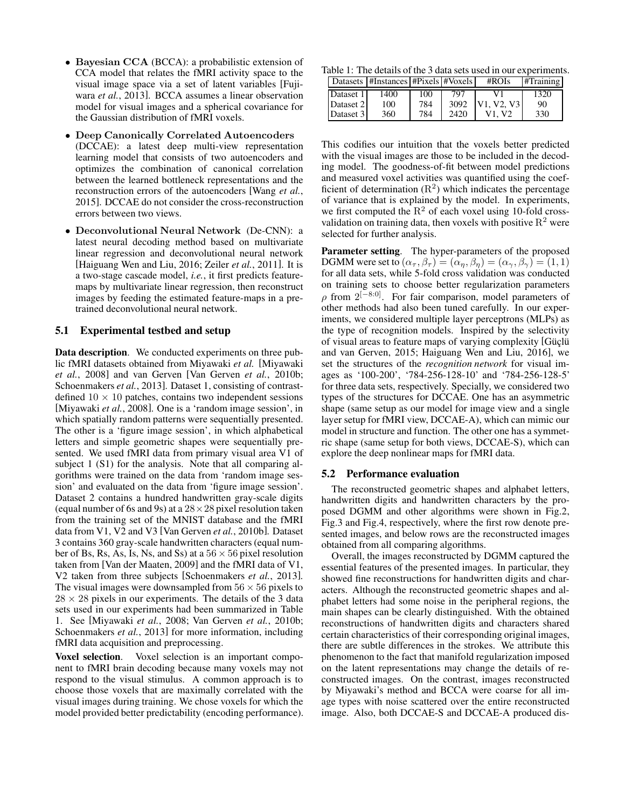- Bayesian CCA (BCCA): a probabilistic extension of CCA model that relates the fMRI activity space to the visual image space via a set of latent variables [Fujiwara *et al.*, 2013]. BCCA assumes a linear observation model for visual images and a spherical covariance for the Gaussian distribution of fMRI voxels.
- Deep Canonically Correlated Autoencoders (DCCAE): a latest deep multi-view representation learning model that consists of two autoencoders and optimizes the combination of canonical correlation between the learned bottleneck representations and the reconstruction errors of the autoencoders [Wang *et al.*, 2015]. DCCAE do not consider the cross-reconstruction errors between two views.
- Deconvolutional Neural Network (De-CNN): a latest neural decoding method based on multivariate linear regression and deconvolutional neural network [Haiguang Wen and Liu, 2016; Zeiler *et al.*, 2011]. It is a two-stage cascade model, *i.e.*, it first predicts featuremaps by multivariate linear regression, then reconstruct images by feeding the estimated feature-maps in a pretrained deconvolutional neural network.

#### 5.1 Experimental testbed and setup

Data description. We conducted experiments on three public fMRI datasets obtained from Miyawaki *et al.* [Miyawaki *et al.*, 2008] and van Gerven [Van Gerven *et al.*, 2010b; Schoenmakers *et al.*, 2013]. Dataset 1, consisting of contrastdefined  $10 \times 10$  patches, contains two independent sessions [Miyawaki *et al.*, 2008]. One is a 'random image session', in which spatially random patterns were sequentially presented. The other is a 'figure image session', in which alphabetical letters and simple geometric shapes were sequentially presented. We used fMRI data from primary visual area V1 of subject 1 (S1) for the analysis. Note that all comparing algorithms were trained on the data from 'random image session' and evaluated on the data from 'figure image session'. Dataset 2 contains a hundred handwritten gray-scale digits (equal number of 6s and 9s) at a  $28 \times 28$  pixel resolution taken from the training set of the MNIST database and the fMRI data from V1, V2 and V3 [Van Gerven *et al.*, 2010b]. Dataset 3 contains 360 gray-scale handwritten characters (equal number of Bs, Rs, As, Is, Ns, and Ss) at a  $56 \times 56$  pixel resolution taken from [Van der Maaten, 2009] and the fMRI data of V1, V2 taken from three subjects [Schoenmakers *et al.*, 2013]. The visual images were downsampled from  $56 \times 56$  pixels to  $28 \times 28$  pixels in our experiments. The details of the 3 data sets used in our experiments had been summarized in Table 1. See [Miyawaki *et al.*, 2008; Van Gerven *et al.*, 2010b; Schoenmakers *et al.*, 2013] for more information, including fMRI data acquisition and preprocessing.

Voxel selection. Voxel selection is an important component to fMRI brain decoding because many voxels may not respond to the visual stimulus. A common approach is to choose those voxels that are maximally correlated with the visual images during training. We chose voxels for which the model provided better predictability (encoding performance).

Table 1: The details of the 3 data sets used in our experiments.

|            | Datasets  #Instances  #Pixels  #Voxels |     |      | #ROIs                                            | #Training |
|------------|----------------------------------------|-----|------|--------------------------------------------------|-----------|
| Dataset 1  | 1400                                   | 100 | 797  |                                                  | 1320      |
| Dataset 21 | 100                                    | 784 | 3092 | V <sub>1</sub> . V <sub>2</sub> . V <sub>3</sub> | 90        |
| Dataset 3  | 360                                    | 784 | 2420 | VI V2                                            | 330       |

This codifies our intuition that the voxels better predicted with the visual images are those to be included in the decoding model. The goodness-of-fit between model predictions and measured voxel activities was quantified using the coefficient of determination  $(R^2)$  which indicates the percentage of variance that is explained by the model. In experiments, we first computed the  $R^2$  of each voxel using 10-fold crossvalidation on training data, then voxels with positive  $R^2$  were selected for further analysis.

Parameter setting. The hyper-parameters of the proposed DGMM were set to  $(\alpha_{\tau}, \beta_{\tau}) = (\alpha_{\eta}, \beta_{\eta}) = (\alpha_{\gamma}, \beta_{\gamma}) = (1, 1)$ for all data sets, while 5-fold cross validation was conducted on training sets to choose better regularization parameters  $\rho$  from  $2^{[-8:0]}$ . For fair comparison, model parameters of other methods had also been tuned carefully. In our experiments, we considered multiple layer perceptrons (MLPs) as the type of recognition models. Inspired by the selectivity of visual areas to feature maps of varying complexity [Güçlü and van Gerven, 2015; Haiguang Wen and Liu, 2016], we set the structures of the *recognition network* for visual images as '100-200', '784-256-128-10' and '784-256-128-5' for three data sets, respectively. Specially, we considered two types of the structures for DCCAE. One has an asymmetric shape (same setup as our model for image view and a single layer setup for fMRI view, DCCAE-A), which can mimic our model in structure and function. The other one has a symmetric shape (same setup for both views, DCCAE-S), which can explore the deep nonlinear maps for fMRI data.

#### 5.2 Performance evaluation

The reconstructed geometric shapes and alphabet letters, handwritten digits and handwritten characters by the proposed DGMM and other algorithms were shown in Fig.2, Fig.3 and Fig.4, respectively, where the first row denote presented images, and below rows are the reconstructed images obtained from all comparing algorithms.

Overall, the images reconstructed by DGMM captured the essential features of the presented images. In particular, they showed fine reconstructions for handwritten digits and characters. Although the reconstructed geometric shapes and alphabet letters had some noise in the peripheral regions, the main shapes can be clearly distinguished. With the obtained reconstructions of handwritten digits and characters shared certain characteristics of their corresponding original images, there are subtle differences in the strokes. We attribute this phenomenon to the fact that manifold regularization imposed on the latent representations may change the details of reconstructed images. On the contrast, images reconstructed by Miyawaki's method and BCCA were coarse for all image types with noise scattered over the entire reconstructed image. Also, both DCCAE-S and DCCAE-A produced dis-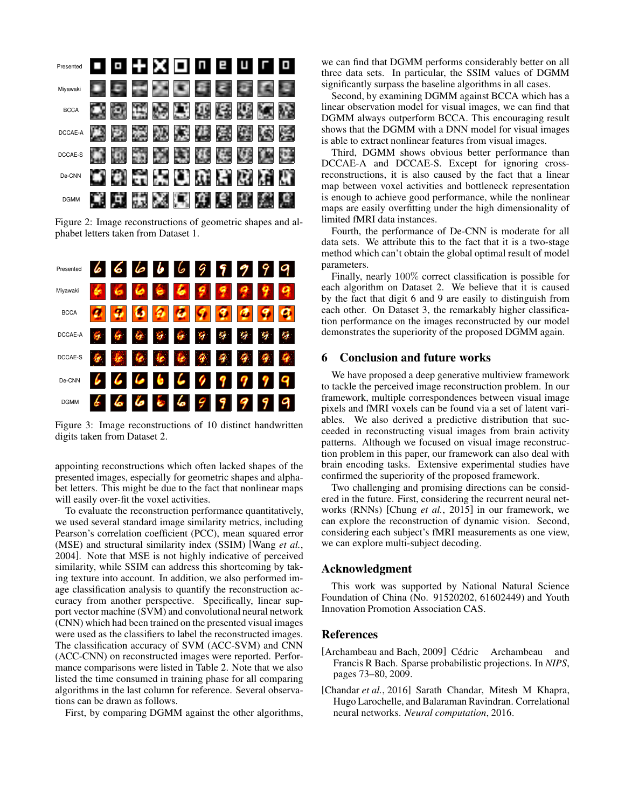| Presented   |   |      |    | 8 H X O 0 8 9 1 |     |    |    | $\mathbf \Gamma$ | $\blacksquare$ |
|-------------|---|------|----|-----------------|-----|----|----|------------------|----------------|
| Miyawaki    |   |      |    |                 |     | œ  |    |                  |                |
| <b>BCCA</b> |   | PE,  | 蜿  | Ņ<br>ņ          | X.  | Æ. | 29 | 41<br>N          | КØ             |
| DCCAE-A     |   |      | 鱜  | W.              | W   | 燳  | Œ۱ |                  |                |
| DCCAE-S     |   | К'n, | 蘭  | 躑               | Ø   | Ç. | Ú. | ы                | ķы.<br>Політ   |
| De-CNN      |   |      | 20 |                 | Iũ. | K. | ΚJ |                  | m              |
| <b>DGMM</b> | G | 53   | Ю  | 濿               | 腳   | Н  | Рï | 階層               | Я              |

Figure 2: Image reconstructions of geometric shapes and alphabet letters taken from Dataset 1.



Figure 3: Image reconstructions of 10 distinct handwritten digits taken from Dataset 2.

appointing reconstructions which often lacked shapes of the presented images, especially for geometric shapes and alphabet letters. This might be due to the fact that nonlinear maps will easily over-fit the voxel activities.

To evaluate the reconstruction performance quantitatively, we used several standard image similarity metrics, including Pearson's correlation coefficient (PCC), mean squared error (MSE) and structural similarity index (SSIM) [Wang *et al.*, 2004]. Note that MSE is not highly indicative of perceived similarity, while SSIM can address this shortcoming by taking texture into account. In addition, we also performed image classification analysis to quantify the reconstruction accuracy from another perspective. Specifically, linear support vector machine (SVM) and convolutional neural network (CNN) which had been trained on the presented visual images were used as the classifiers to label the reconstructed images. The classification accuracy of SVM (ACC-SVM) and CNN (ACC-CNN) on reconstructed images were reported. Performance comparisons were listed in Table 2. Note that we also listed the time consumed in training phase for all comparing algorithms in the last column for reference. Several observations can be drawn as follows.

First, by comparing DGMM against the other algorithms,

we can find that DGMM performs considerably better on all three data sets. In particular, the SSIM values of DGMM significantly surpass the baseline algorithms in all cases.

Second, by examining DGMM against BCCA which has a linear observation model for visual images, we can find that DGMM always outperform BCCA. This encouraging result shows that the DGMM with a DNN model for visual images is able to extract nonlinear features from visual images.

Third, DGMM shows obvious better performance than DCCAE-A and DCCAE-S. Except for ignoring crossreconstructions, it is also caused by the fact that a linear map between voxel activities and bottleneck representation is enough to achieve good performance, while the nonlinear maps are easily overfitting under the high dimensionality of limited fMRI data instances.

Fourth, the performance of De-CNN is moderate for all data sets. We attribute this to the fact that it is a two-stage method which can't obtain the global optimal result of model parameters.

Finally, nearly 100% correct classification is possible for each algorithm on Dataset 2. We believe that it is caused by the fact that digit 6 and 9 are easily to distinguish from each other. On Dataset 3, the remarkably higher classification performance on the images reconstructed by our model demonstrates the superiority of the proposed DGMM again.

# 6 Conclusion and future works

We have proposed a deep generative multiview framework to tackle the perceived image reconstruction problem. In our framework, multiple correspondences between visual image pixels and fMRI voxels can be found via a set of latent variables. We also derived a predictive distribution that succeeded in reconstructing visual images from brain activity patterns. Although we focused on visual image reconstruction problem in this paper, our framework can also deal with brain encoding tasks. Extensive experimental studies have confirmed the superiority of the proposed framework.

Two challenging and promising directions can be considered in the future. First, considering the recurrent neural networks (RNNs) [Chung *et al.*, 2015] in our framework, we can explore the reconstruction of dynamic vision. Second, considering each subject's fMRI measurements as one view, we can explore multi-subject decoding.

### Acknowledgment

This work was supported by National Natural Science Foundation of China (No. 91520202, 61602449) and Youth Innovation Promotion Association CAS.

### References

- [Archambeau and Bach, 2009] Cédric Archambeau and Francis R Bach. Sparse probabilistic projections. In *NIPS*, pages 73–80, 2009.
- [Chandar *et al.*, 2016] Sarath Chandar, Mitesh M Khapra, Hugo Larochelle, and Balaraman Ravindran. Correlational neural networks. *Neural computation*, 2016.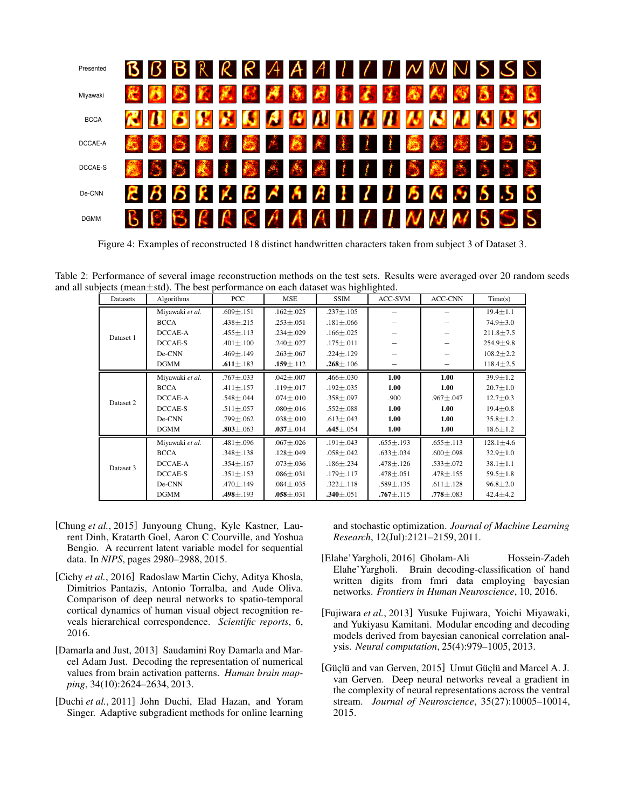| Presented   |   |  |  |     |                   |  | BBRRRAAAIII |   |     |      | NNN5S                         |  |    |
|-------------|---|--|--|-----|-------------------|--|-------------|---|-----|------|-------------------------------|--|----|
| Miyawaki    |   |  |  |     | 多的民间居民局面          |  |             |   | 16K |      |                               |  |    |
| <b>BCCA</b> |   |  |  |     |                   |  |             |   |     |      |                               |  |    |
| DCCAE-A     |   |  |  |     | <b>SSBIBIDIRI</b> |  |             | Ĩ | 图   | A PS |                               |  |    |
| DCCAE-S     |   |  |  |     |                   |  |             |   |     |      | S 5 2 1 3 4 3 3 1 1 1 5 2 5 5 |  | 55 |
| De-CNN      | Е |  |  |     |                   |  |             |   |     |      | <b>BBCZBAAIII56555</b>        |  |    |
| <b>DGMM</b> |   |  |  | - R |                   |  |             |   |     |      | AAAIIINNMS                    |  |    |

Figure 4: Examples of reconstructed 18 distinct handwritten characters taken from subject 3 of Dataset 3.

Table 2: Performance of several image reconstruction methods on the test sets. Results were averaged over 20 random seeds and all subjects (mean $\pm$ std). The best performance on each dataset was highlighted.

| Datasets  | Algorithms      | <b>PCC</b>      | <b>MSE</b>        | SSIM              | <b>ACC-SVM</b>  | <b>ACC-CNN</b>  | Time(s)         |
|-----------|-----------------|-----------------|-------------------|-------------------|-----------------|-----------------|-----------------|
|           | Miyawaki et al. | $.609 \pm .151$ | $.162 \pm .025$   | $.237 \pm .105$   |                 |                 | $19.4 \pm 1.1$  |
| Dataset 1 | <b>BCCA</b>     | $.438 \pm .215$ | $.253 \pm .051$   | $.181 \pm .066$   |                 |                 | $74.9 \pm 3.0$  |
|           | DCCAE-A         | $.455 \pm .113$ | $.234 \pm .029$   | $.166 {\pm} .025$ |                 |                 | $211.8 \pm 7.5$ |
|           | DCCAE-S         | $.401 \pm .100$ | $.240 \pm .027$   | $.175 \pm .011$   |                 |                 | $254.9 \pm 9.8$ |
|           | De-CNN          | .469±.149       | $.263 \pm .067$   | .224±.129         |                 |                 | $108.2 \pm 2.2$ |
|           | <b>DGMM</b>     | $.611 \pm .183$ | $.159 \pm .112$   | $.268 \pm .106$   |                 |                 | $118.4 \pm 2.5$ |
|           | Miyawaki et al. | $.767 \pm .033$ | $.042 \pm .007$   | $.466 \pm .030$   | 1.00            | 1.00            | $39.9 \pm 1.2$  |
|           | <b>BCCA</b>     | $.411 \pm .157$ | $.119 {\pm} .017$ | .192±.035         | 1.00            | 1.00            | $20.7 \pm 1.0$  |
| Dataset 2 | DCCAE-A         | $.548 \pm .044$ | $.074 {\pm} .010$ | $.358 {\pm} .097$ | .900            | $.967 \pm .047$ | $12.7 \pm 0.3$  |
|           | DCCAE-S         | $.511 \pm .057$ | $.080 {\pm} .016$ | $.552 \pm .088$   | 1.00            | 1.00            | $19.4 \pm 0.8$  |
|           | De-CNN          | $.799 \pm .062$ | $.038 \pm .010$   | $.613 \pm .043$   | 1.00            | 1.00            | $35.8 \pm 1.2$  |
|           | <b>DGMM</b>     | $.803 \pm .063$ | $.037 \pm .014$   | $.645 \pm .054$   | 1.00            | 1.00            | $18.6 \pm 1.2$  |
|           | Miyawaki et al. | $.481 \pm .096$ | $.067 + .026$     | $.191 \pm .043$   | $.655 \pm .193$ | $.655 \pm .113$ | $128.1 \pm 4.6$ |
|           | <b>BCCA</b>     | $.348 \pm .138$ | $.128 \pm .049$   | $.058 \pm .042$   | $.633 \pm .034$ | $.600 \pm .098$ | $32.9 \pm 1.0$  |
| Dataset 3 | DCCAE-A         | $.354 \pm .167$ | $.073 \pm .036$   | $.186 \pm .234$   | $.478 \pm .126$ | $.533 \pm .072$ | $38.1 \pm 1.1$  |
|           | DCCAE-S         | $.351 \pm .153$ | $.086 \pm .031$   | $.179 \pm .117$   | $.478 \pm .051$ | $.478 \pm .155$ | $59.5 \pm 1.8$  |
|           | De-CNN          | .470±.149       | $.084 \pm .035$   | $.322 \pm .118$   | $.589 \pm .135$ | $.611 \pm .128$ | $96.8 \pm 2.0$  |
|           | <b>DGMM</b>     | $.498 \pm .193$ | $.058 \pm .031$   | $.340 \pm .051$   | $.767 \pm .115$ | $.778 \pm .083$ | $42.4 \pm 4.2$  |

- [Chung et al., 2015] Junyoung Chung, Kyle Kastner, Laurent Dinh, Kratarth Goel, Aaron C Courville, and Yoshua Bengio. A recurrent latent variable model for sequential data. In *NIPS*, pages 2980–2988, 2015.
- [Cichy *et al.*, 2016] Radoslaw Martin Cichy, Aditya Khosla, Dimitrios Pantazis, Antonio Torralba, and Aude Oliva. Comparison of deep neural networks to spatio-temporal cortical dynamics of human visual object recognition reveals hierarchical correspondence. *Scientific reports*, 6, 2016.
- [Damarla and Just, 2013] Saudamini Roy Damarla and Marcel Adam Just. Decoding the representation of numerical values from brain activation patterns. *Human brain mapping*, 34(10):2624–2634, 2013.
- [Duchi *et al.*, 2011] John Duchi, Elad Hazan, and Yoram Singer. Adaptive subgradient methods for online learning

and stochastic optimization. *Journal of Machine Learning Research*, 12(Jul):2121–2159, 2011.

- [Elahe'Yargholi, 2016] Gholam-Ali Hossein-Zadeh Elahe'Yargholi. Brain decoding-classification of hand written digits from fmri data employing bayesian networks. *Frontiers in Human Neuroscience*, 10, 2016.
- [Fujiwara *et al.*, 2013] Yusuke Fujiwara, Yoichi Miyawaki, and Yukiyasu Kamitani. Modular encoding and decoding models derived from bayesian canonical correlation analysis. *Neural computation*, 25(4):979–1005, 2013.
- [Güçlü and van Gerven, 2015] Umut Güçlü and Marcel A. J. van Gerven. Deep neural networks reveal a gradient in the complexity of neural representations across the ventral stream. *Journal of Neuroscience*, 35(27):10005–10014, 2015.